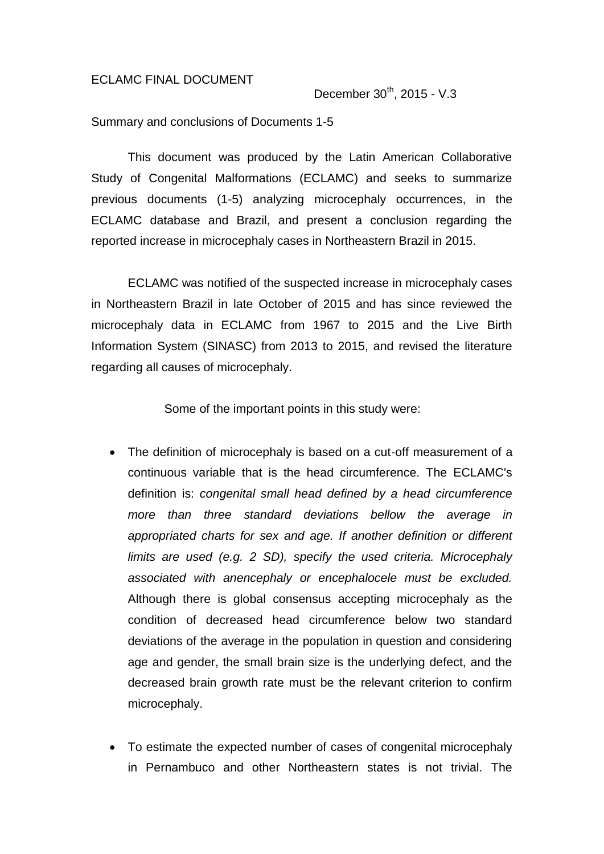#### ECLAMC FINAL DOCUMENT

December 30<sup>th</sup>, 2015 - V.3

Summary and conclusions of Documents 1-5

This document was produced by the Latin American Collaborative Study of Congenital Malformations (ECLAMC) and seeks to summarize previous documents (1-5) analyzing microcephaly occurrences, in the ECLAMC database and Brazil, and present a conclusion regarding the reported increase in microcephaly cases in Northeastern Brazil in 2015.

ECLAMC was notified of the suspected increase in microcephaly cases in Northeastern Brazil in late October of 2015 and has since reviewed the microcephaly data in ECLAMC from 1967 to 2015 and the Live Birth Information System (SINASC) from 2013 to 2015, and revised the literature regarding all causes of microcephaly.

Some of the important points in this study were:

- The definition of microcephaly is based on a cut-off measurement of a continuous variable that is the head circumference. The ECLAMC's definition is: *congenital small head defined by a head circumference more than three standard deviations bellow the average in appropriated charts for sex and age. If another definition or different limits are used (e.g. 2 SD), specify the used criteria. Microcephaly associated with anencephaly or encephalocele must be excluded.* Although there is global consensus accepting microcephaly as the condition of decreased head circumference below two standard deviations of the average in the population in question and considering age and gender, the small brain size is the underlying defect, and the decreased brain growth rate must be the relevant criterion to confirm microcephaly.
- To estimate the expected number of cases of congenital microcephaly in Pernambuco and other Northeastern states is not trivial. The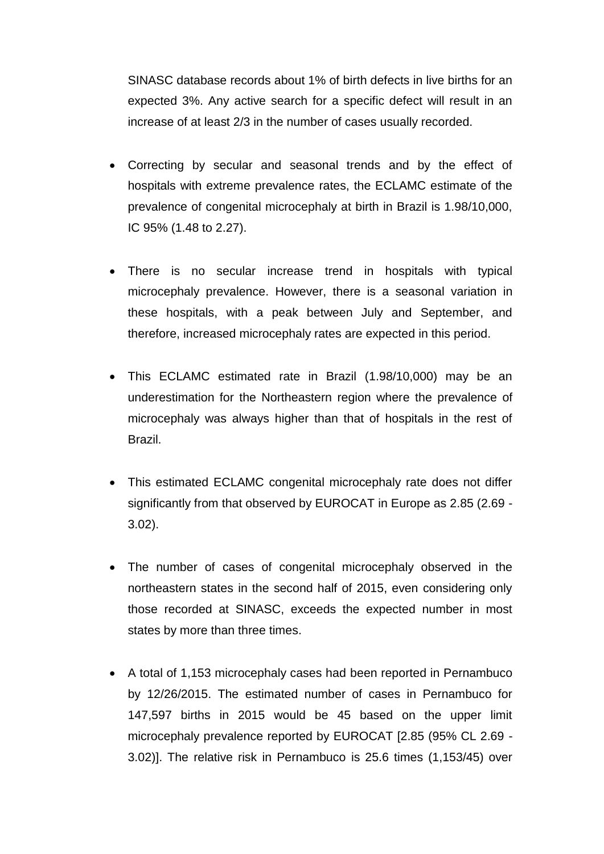SINASC database records about 1% of birth defects in live births for an expected 3%. Any active search for a specific defect will result in an increase of at least 2/3 in the number of cases usually recorded.

- Correcting by secular and seasonal trends and by the effect of hospitals with extreme prevalence rates, the ECLAMC estimate of the prevalence of congenital microcephaly at birth in Brazil is 1.98/10,000, IC 95% (1.48 to 2.27).
- There is no secular increase trend in hospitals with typical microcephaly prevalence. However, there is a seasonal variation in these hospitals, with a peak between July and September, and therefore, increased microcephaly rates are expected in this period.
- This ECLAMC estimated rate in Brazil (1.98/10,000) may be an underestimation for the Northeastern region where the prevalence of microcephaly was always higher than that of hospitals in the rest of Brazil.
- This estimated ECLAMC congenital microcephaly rate does not differ significantly from that observed by EUROCAT in Europe as 2.85 (2.69 - 3.02).
- The number of cases of congenital microcephaly observed in the northeastern states in the second half of 2015, even considering only those recorded at SINASC, exceeds the expected number in most states by more than three times.
- A total of 1,153 microcephaly cases had been reported in Pernambuco by 12/26/2015. The estimated number of cases in Pernambuco for 147,597 births in 2015 would be 45 based on the upper limit microcephaly prevalence reported by EUROCAT [2.85 (95% CL 2.69 - 3.02)]. The relative risk in Pernambuco is 25.6 times (1,153/45) over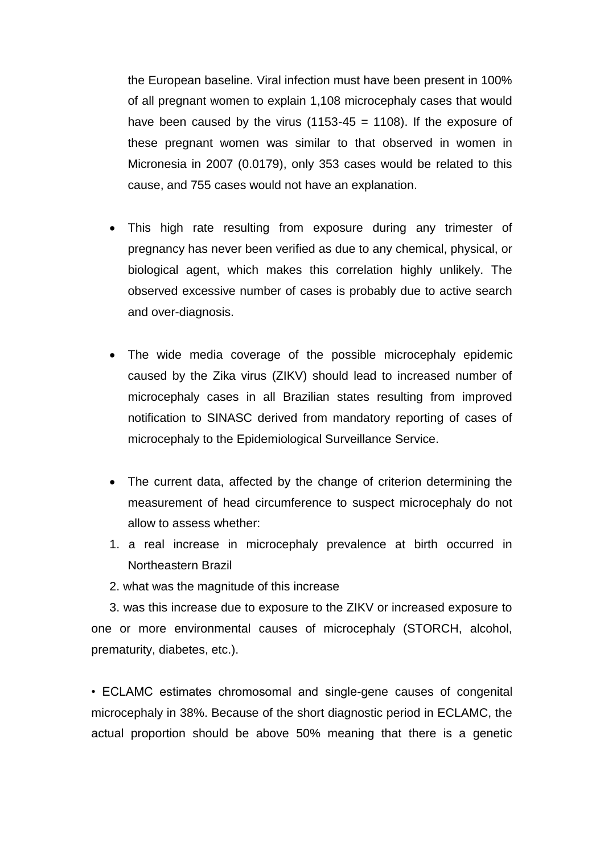the European baseline. Viral infection must have been present in 100% of all pregnant women to explain 1,108 microcephaly cases that would have been caused by the virus (1153-45 = 1108). If the exposure of these pregnant women was similar to that observed in women in Micronesia in 2007 (0.0179), only 353 cases would be related to this cause, and 755 cases would not have an explanation.

- This high rate resulting from exposure during any trimester of pregnancy has never been verified as due to any chemical, physical, or biological agent, which makes this correlation highly unlikely. The observed excessive number of cases is probably due to active search and over-diagnosis.
- The wide media coverage of the possible microcephaly epidemic caused by the Zika virus (ZIKV) should lead to increased number of microcephaly cases in all Brazilian states resulting from improved notification to SINASC derived from mandatory reporting of cases of microcephaly to the Epidemiological Surveillance Service.
- The current data, affected by the change of criterion determining the measurement of head circumference to suspect microcephaly do not allow to assess whether:
- 1. a real increase in microcephaly prevalence at birth occurred in Northeastern Brazil
- 2. what was the magnitude of this increase

3. was this increase due to exposure to the ZIKV or increased exposure to one or more environmental causes of microcephaly (STORCH, alcohol, prematurity, diabetes, etc.).

• ECLAMC estimates chromosomal and single-gene causes of congenital microcephaly in 38%. Because of the short diagnostic period in ECLAMC, the actual proportion should be above 50% meaning that there is a genetic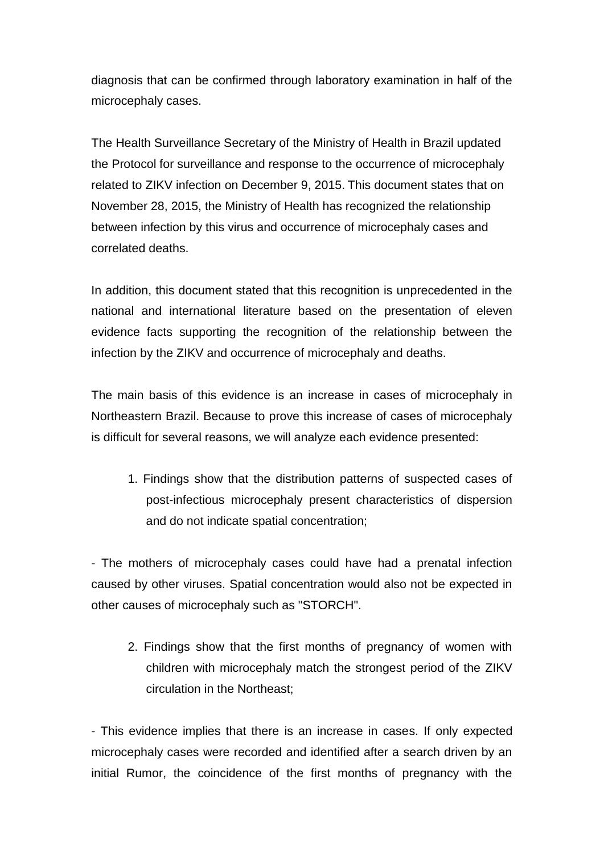diagnosis that can be confirmed through laboratory examination in half of the microcephaly cases.

The Health Surveillance Secretary of the Ministry of Health in Brazil updated the Protocol for surveillance and response to the occurrence of microcephaly related to ZIKV infection on December 9, 2015. This document states that on November 28, 2015, the Ministry of Health has recognized the relationship between infection by this virus and occurrence of microcephaly cases and correlated deaths.

In addition, this document stated that this recognition is unprecedented in the national and international literature based on the presentation of eleven evidence facts supporting the recognition of the relationship between the infection by the ZIKV and occurrence of microcephaly and deaths.

The main basis of this evidence is an increase in cases of microcephaly in Northeastern Brazil. Because to prove this increase of cases of microcephaly is difficult for several reasons, we will analyze each evidence presented:

1. Findings show that the distribution patterns of suspected cases of post-infectious microcephaly present characteristics of dispersion and do not indicate spatial concentration;

- The mothers of microcephaly cases could have had a prenatal infection caused by other viruses. Spatial concentration would also not be expected in other causes of microcephaly such as "STORCH".

2. Findings show that the first months of pregnancy of women with children with microcephaly match the strongest period of the ZIKV circulation in the Northeast;

- This evidence implies that there is an increase in cases. If only expected microcephaly cases were recorded and identified after a search driven by an initial Rumor, the coincidence of the first months of pregnancy with the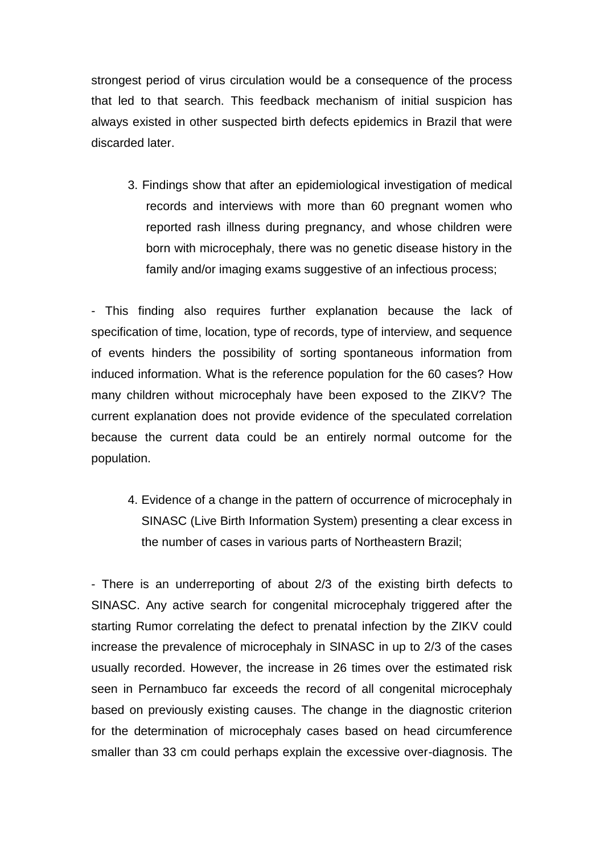strongest period of virus circulation would be a consequence of the process that led to that search. This feedback mechanism of initial suspicion has always existed in other suspected birth defects epidemics in Brazil that were discarded later.

3. Findings show that after an epidemiological investigation of medical records and interviews with more than 60 pregnant women who reported rash illness during pregnancy, and whose children were born with microcephaly, there was no genetic disease history in the family and/or imaging exams suggestive of an infectious process;

- This finding also requires further explanation because the lack of specification of time, location, type of records, type of interview, and sequence of events hinders the possibility of sorting spontaneous information from induced information. What is the reference population for the 60 cases? How many children without microcephaly have been exposed to the ZIKV? The current explanation does not provide evidence of the speculated correlation because the current data could be an entirely normal outcome for the population.

4. Evidence of a change in the pattern of occurrence of microcephaly in SINASC (Live Birth Information System) presenting a clear excess in the number of cases in various parts of Northeastern Brazil;

- There is an underreporting of about 2/3 of the existing birth defects to SINASC. Any active search for congenital microcephaly triggered after the starting Rumor correlating the defect to prenatal infection by the ZIKV could increase the prevalence of microcephaly in SINASC in up to 2/3 of the cases usually recorded. However, the increase in 26 times over the estimated risk seen in Pernambuco far exceeds the record of all congenital microcephaly based on previously existing causes. The change in the diagnostic criterion for the determination of microcephaly cases based on head circumference smaller than 33 cm could perhaps explain the excessive over-diagnosis. The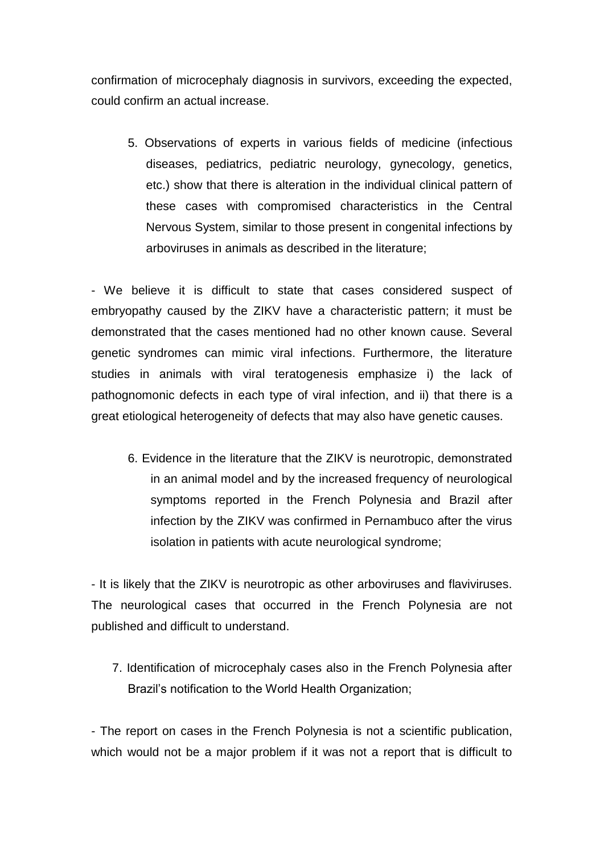confirmation of microcephaly diagnosis in survivors, exceeding the expected, could confirm an actual increase.

5. Observations of experts in various fields of medicine (infectious diseases, pediatrics, pediatric neurology, gynecology, genetics, etc.) show that there is alteration in the individual clinical pattern of these cases with compromised characteristics in the Central Nervous System, similar to those present in congenital infections by arboviruses in animals as described in the literature;

- We believe it is difficult to state that cases considered suspect of embryopathy caused by the ZIKV have a characteristic pattern; it must be demonstrated that the cases mentioned had no other known cause. Several genetic syndromes can mimic viral infections. Furthermore, the literature studies in animals with viral teratogenesis emphasize i) the lack of pathognomonic defects in each type of viral infection, and ii) that there is a great etiological heterogeneity of defects that may also have genetic causes.

6. Evidence in the literature that the ZIKV is neurotropic, demonstrated in an animal model and by the increased frequency of neurological symptoms reported in the French Polynesia and Brazil after infection by the ZIKV was confirmed in Pernambuco after the virus isolation in patients with acute neurological syndrome;

- It is likely that the ZIKV is neurotropic as other arboviruses and flaviviruses. The neurological cases that occurred in the French Polynesia are not published and difficult to understand.

7. Identification of microcephaly cases also in the French Polynesia after Brazil's notification to the World Health Organization;

- The report on cases in the French Polynesia is not a scientific publication, which would not be a major problem if it was not a report that is difficult to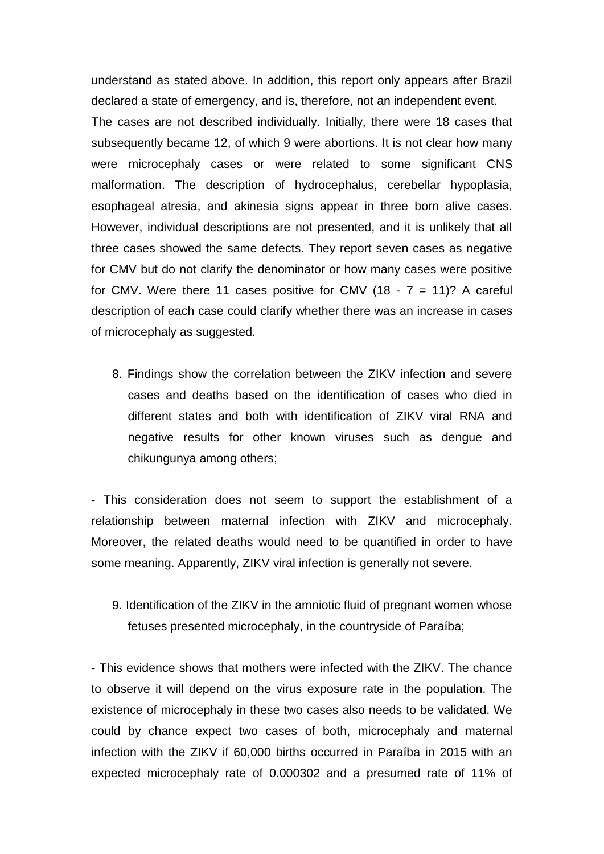understand as stated above. In addition, this report only appears after Brazil declared a state of emergency, and is, therefore, not an independent event. The cases are not described individually. Initially, there were 18 cases that subsequently became 12, of which 9 were abortions. It is not clear how many were microcephaly cases or were related to some significant CNS malformation. The description of hydrocephalus, cerebellar hypoplasia, esophageal atresia, and akinesia signs appear in three born alive cases. However, individual descriptions are not presented, and it is unlikely that all three cases showed the same defects. They report seven cases as negative for CMV but do not clarify the denominator or how many cases were positive for CMV. Were there 11 cases positive for CMV  $(18 - 7 = 11)$ ? A careful description of each case could clarify whether there was an increase in cases of microcephaly as suggested.

8. Findings show the correlation between the ZIKV infection and severe cases and deaths based on the identification of cases who died in different states and both with identification of ZIKV viral RNA and negative results for other known viruses such as dengue and chikungunya among others;

- This consideration does not seem to support the establishment of a relationship between maternal infection with ZIKV and microcephaly. Moreover, the related deaths would need to be quantified in order to have some meaning. Apparently, ZIKV viral infection is generally not severe.

9. Identification of the ZIKV in the amniotic fluid of pregnant women whose fetuses presented microcephaly, in the countryside of Paraíba;

- This evidence shows that mothers were infected with the ZIKV. The chance to observe it will depend on the virus exposure rate in the population. The existence of microcephaly in these two cases also needs to be validated. We could by chance expect two cases of both, microcephaly and maternal infection with the ZIKV if 60,000 births occurred in Paraíba in 2015 with an expected microcephaly rate of 0.000302 and a presumed rate of 11% of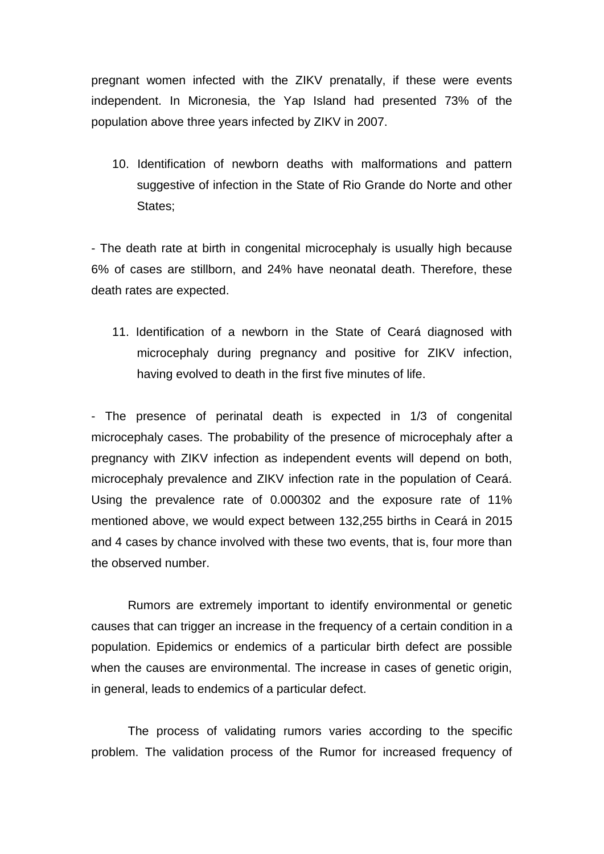pregnant women infected with the ZIKV prenatally, if these were events independent. In Micronesia, the Yap Island had presented 73% of the population above three years infected by ZIKV in 2007.

10. Identification of newborn deaths with malformations and pattern suggestive of infection in the State of Rio Grande do Norte and other States;

- The death rate at birth in congenital microcephaly is usually high because 6% of cases are stillborn, and 24% have neonatal death. Therefore, these death rates are expected.

11. Identification of a newborn in the State of Ceará diagnosed with microcephaly during pregnancy and positive for ZIKV infection, having evolved to death in the first five minutes of life.

- The presence of perinatal death is expected in 1/3 of congenital microcephaly cases. The probability of the presence of microcephaly after a pregnancy with ZIKV infection as independent events will depend on both, microcephaly prevalence and ZIKV infection rate in the population of Ceará. Using the prevalence rate of 0.000302 and the exposure rate of 11% mentioned above, we would expect between 132,255 births in Ceará in 2015 and 4 cases by chance involved with these two events, that is, four more than the observed number.

Rumors are extremely important to identify environmental or genetic causes that can trigger an increase in the frequency of a certain condition in a population. Epidemics or endemics of a particular birth defect are possible when the causes are environmental. The increase in cases of genetic origin, in general, leads to endemics of a particular defect.

The process of validating rumors varies according to the specific problem. The validation process of the Rumor for increased frequency of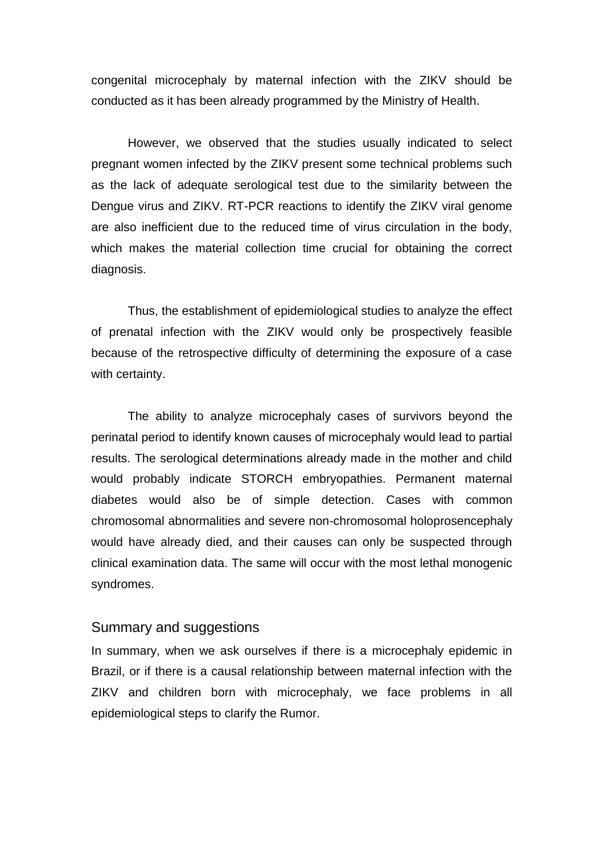congenital microcephaly by maternal infection with the ZIKV should be conducted as it has been already programmed by the Ministry of Health.

However, we observed that the studies usually indicated to select pregnant women infected by the ZIKV present some technical problems such as the lack of adequate serological test due to the similarity between the Dengue virus and ZIKV. RT-PCR reactions to identify the ZIKV viral genome are also inefficient due to the reduced time of virus circulation in the body, which makes the material collection time crucial for obtaining the correct diagnosis.

Thus, the establishment of epidemiological studies to analyze the effect of prenatal infection with the ZIKV would only be prospectively feasible because of the retrospective difficulty of determining the exposure of a case with certainty.

The ability to analyze microcephaly cases of survivors beyond the perinatal period to identify known causes of microcephaly would lead to partial results. The serological determinations already made in the mother and child would probably indicate STORCH embryopathies. Permanent maternal diabetes would also be of simple detection. Cases with common chromosomal abnormalities and severe non-chromosomal holoprosencephaly would have already died, and their causes can only be suspected through clinical examination data. The same will occur with the most lethal monogenic syndromes.

## Summary and suggestions

In summary, when we ask ourselves if there is a microcephaly epidemic in Brazil, or if there is a causal relationship between maternal infection with the ZIKV and children born with microcephaly, we face problems in all epidemiological steps to clarify the Rumor.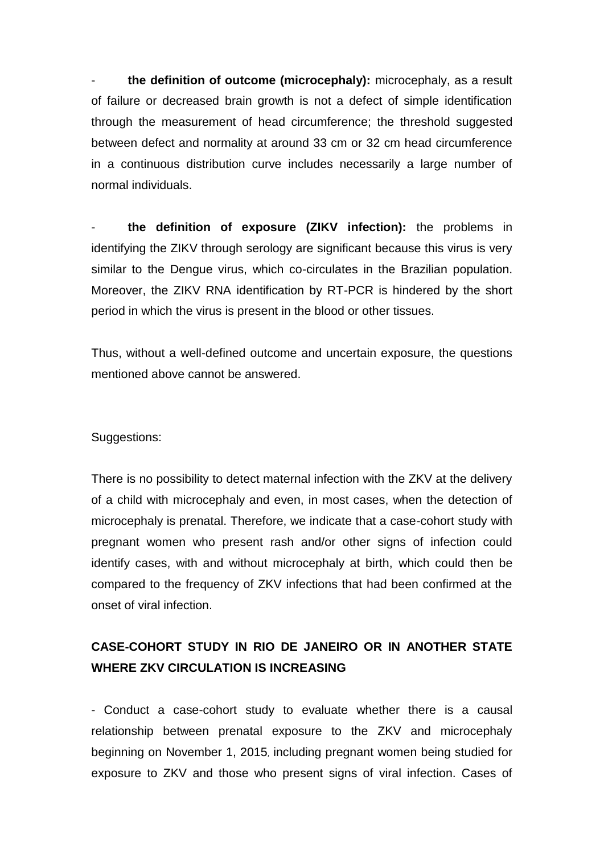- **the definition of outcome (microcephaly):** microcephaly, as a result of failure or decreased brain growth is not a defect of simple identification through the measurement of head circumference; the threshold suggested between defect and normality at around 33 cm or 32 cm head circumference in a continuous distribution curve includes necessarily a large number of normal individuals.

- **the definition of exposure (ZIKV infection):** the problems in identifying the ZIKV through serology are significant because this virus is very similar to the Dengue virus, which co-circulates in the Brazilian population. Moreover, the ZIKV RNA identification by RT-PCR is hindered by the short period in which the virus is present in the blood or other tissues.

Thus, without a well-defined outcome and uncertain exposure, the questions mentioned above cannot be answered.

### Suggestions:

There is no possibility to detect maternal infection with the ZKV at the delivery of a child with microcephaly and even, in most cases, when the detection of microcephaly is prenatal. Therefore, we indicate that a case-cohort study with pregnant women who present rash and/or other signs of infection could identify cases, with and without microcephaly at birth, which could then be compared to the frequency of ZKV infections that had been confirmed at the onset of viral infection.

# **CASE-COHORT STUDY IN RIO DE JANEIRO OR IN ANOTHER STATE WHERE ZKV CIRCULATION IS INCREASING**

- Conduct a case-cohort study to evaluate whether there is a causal relationship between prenatal exposure to the ZKV and microcephaly beginning on November 1, 2015, including pregnant women being studied for exposure to ZKV and those who present signs of viral infection. Cases of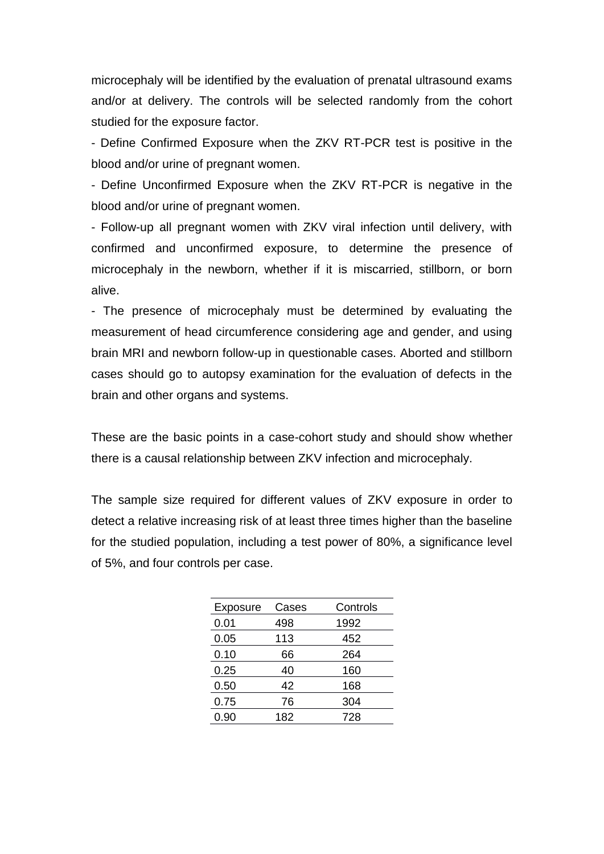microcephaly will be identified by the evaluation of prenatal ultrasound exams and/or at delivery. The controls will be selected randomly from the cohort studied for the exposure factor.

- Define Confirmed Exposure when the ZKV RT-PCR test is positive in the blood and/or urine of pregnant women.

- Define Unconfirmed Exposure when the ZKV RT-PCR is negative in the blood and/or urine of pregnant women.

- Follow-up all pregnant women with ZKV viral infection until delivery, with confirmed and unconfirmed exposure, to determine the presence of microcephaly in the newborn, whether if it is miscarried, stillborn, or born alive.

- The presence of microcephaly must be determined by evaluating the measurement of head circumference considering age and gender, and using brain MRI and newborn follow-up in questionable cases. Aborted and stillborn cases should go to autopsy examination for the evaluation of defects in the brain and other organs and systems.

These are the basic points in a case-cohort study and should show whether there is a causal relationship between ZKV infection and microcephaly.

The sample size required for different values of ZKV exposure in order to detect a relative increasing risk of at least three times higher than the baseline for the studied population, including a test power of 80%, a significance level of 5%, and four controls per case.

| Exposure | Cases | Controls |
|----------|-------|----------|
| 0.01     | 498   | 1992     |
| 0.05     | 113   | 452      |
| 0.10     | 66    | 264      |
| 0.25     | 40    | 160      |
| 0.50     | 42    | 168      |
| 0.75     | 76    | 304      |
| 0.90     | 182   | 728      |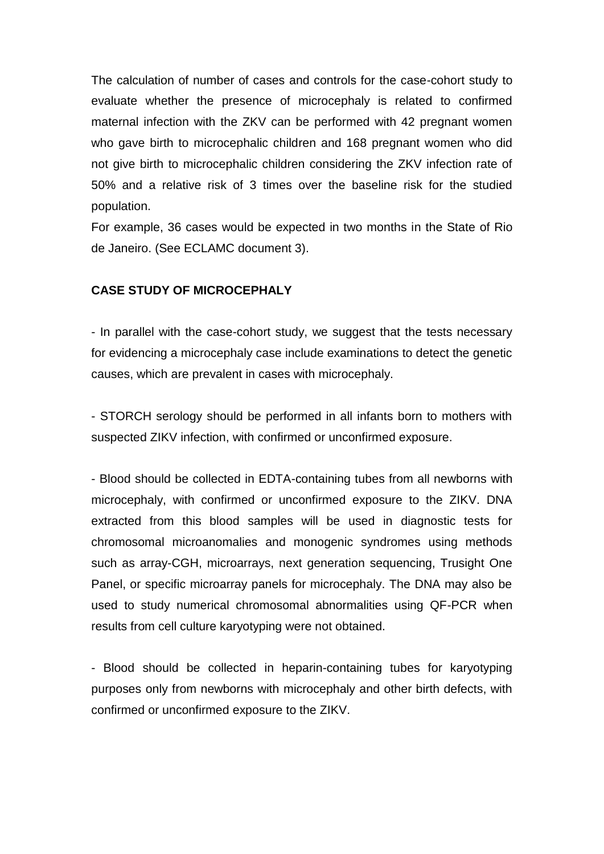The calculation of number of cases and controls for the case-cohort study to evaluate whether the presence of microcephaly is related to confirmed maternal infection with the ZKV can be performed with 42 pregnant women who gave birth to microcephalic children and 168 pregnant women who did not give birth to microcephalic children considering the ZKV infection rate of 50% and a relative risk of 3 times over the baseline risk for the studied population.

For example, 36 cases would be expected in two months in the State of Rio de Janeiro. (See ECLAMC document 3).

### **CASE STUDY OF MICROCEPHALY**

- In parallel with the case-cohort study, we suggest that the tests necessary for evidencing a microcephaly case include examinations to detect the genetic causes, which are prevalent in cases with microcephaly.

- STORCH serology should be performed in all infants born to mothers with suspected ZIKV infection, with confirmed or unconfirmed exposure.

- Blood should be collected in EDTA-containing tubes from all newborns with microcephaly, with confirmed or unconfirmed exposure to the ZIKV. DNA extracted from this blood samples will be used in diagnostic tests for chromosomal microanomalies and monogenic syndromes using methods such as array-CGH, microarrays, next generation sequencing, Trusight One Panel, or specific microarray panels for microcephaly. The DNA may also be used to study numerical chromosomal abnormalities using QF-PCR when results from cell culture karyotyping were not obtained.

- Blood should be collected in heparin-containing tubes for karyotyping purposes only from newborns with microcephaly and other birth defects, with confirmed or unconfirmed exposure to the ZIKV.